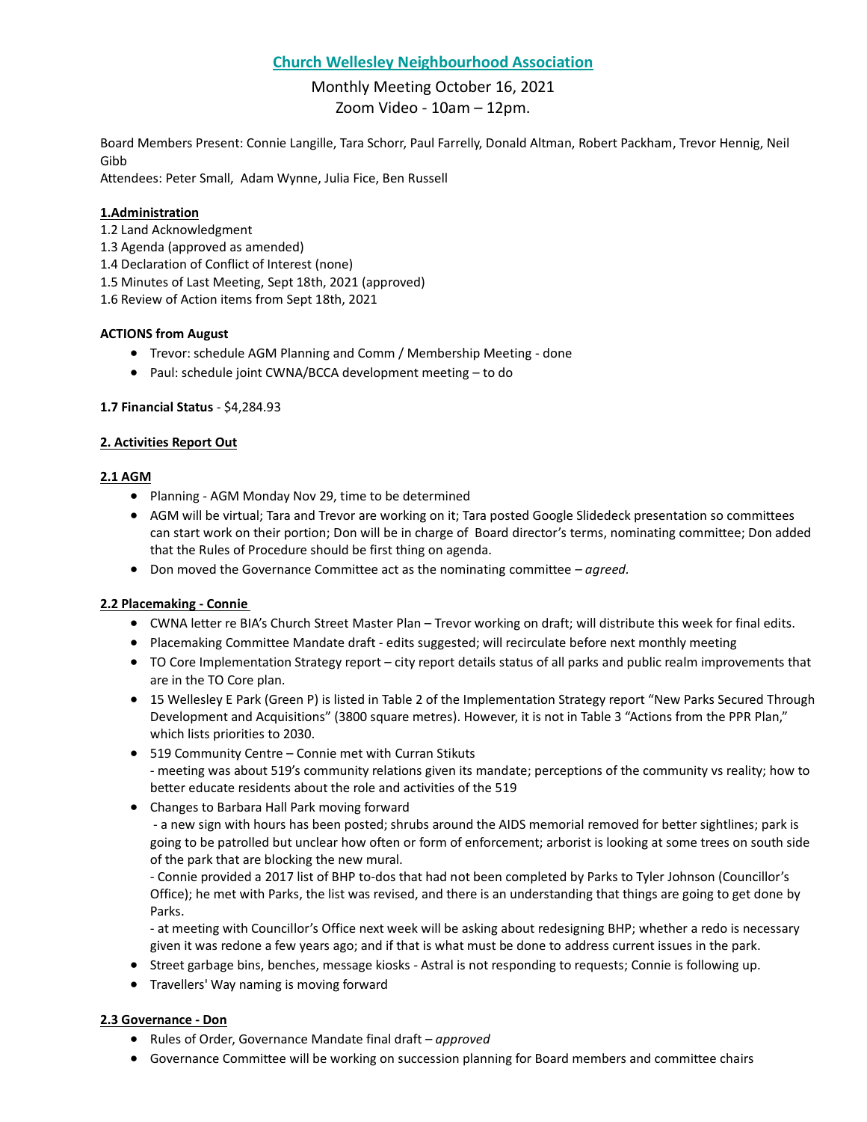## **Church Wellesley Neighbourhood Association**

# Monthly Meeting October 16, 2021 Zoom Video - 10am – 12pm.

Board Members Present: Connie Langille, Tara Schorr, Paul Farrelly, Donald Altman, Robert Packham, Trevor Hennig, Neil Gibb

Attendees: Peter Small, Adam Wynne, Julia Fice, Ben Russell

## **1.Administration**

- 1.2 Land Acknowledgment
- 1.3 Agenda (approved as amended)
- 1.4 Declaration of Conflict of Interest (none)
- 1.5 Minutes of Last Meeting, Sept 18th, 2021 (approved)
- 1.6 Review of Action items from Sept 18th, 2021

## **ACTIONS from August**

- Trevor: schedule AGM Planning and Comm / Membership Meeting done
- Paul: schedule joint CWNA/BCCA development meeting to do

## **1.7 Financial Status** - \$4,284.93

## **2. Activities Report Out**

## **2.1 AGM**

- Planning AGM Monday Nov 29, time to be determined
- AGM will be virtual; Tara and Trevor are working on it; Tara posted Google Slidedeck presentation so committees can start work on their portion; Don will be in charge of Board director's terms, nominating committee; Don added that the Rules of Procedure should be first thing on agenda.
- Don moved the Governance Committee act as the nominating committee *– agreed.*

## **2.2 Placemaking - Connie**

- CWNA letter re BIA's Church Street Master Plan Trevor working on draft; will distribute this week for final edits.
- Placemaking Committee Mandate draft edits suggested; will recirculate before next monthly meeting
- TO Core Implementation Strategy report city report details status of all parks and public realm improvements that are in the TO Core plan.
- 15 Wellesley E Park (Green P) is listed in Table 2 of the Implementation Strategy report "New Parks Secured Through Development and Acquisitions" (3800 square metres). However, it is not in Table 3 "Actions from the PPR Plan," which lists priorities to 2030.
- 519 Community Centre Connie met with Curran Stikuts - meeting was about 519's community relations given its mandate; perceptions of the community vs reality; how to better educate residents about the role and activities of the 519
- Changes to Barbara Hall Park moving forward

- a new sign with hours has been posted; shrubs around the AIDS memorial removed for better sightlines; park is going to be patrolled but unclear how often or form of enforcement; arborist is looking at some trees on south side of the park that are blocking the new mural.

- Connie provided a 2017 list of BHP to-dos that had not been completed by Parks to Tyler Johnson (Councillor's Office); he met with Parks, the list was revised, and there is an understanding that things are going to get done by Parks.

- at meeting with Councillor's Office next week will be asking about redesigning BHP; whether a redo is necessary given it was redone a few years ago; and if that is what must be done to address current issues in the park.

- Street garbage bins, benches, message kiosks Astral is not responding to requests; Connie is following up.
- Travellers' Way naming is moving forward

#### **2.3 Governance - Don**

- Rules of Order, Governance Mandate final draft *– approved*
- Governance Committee will be working on succession planning for Board members and committee chairs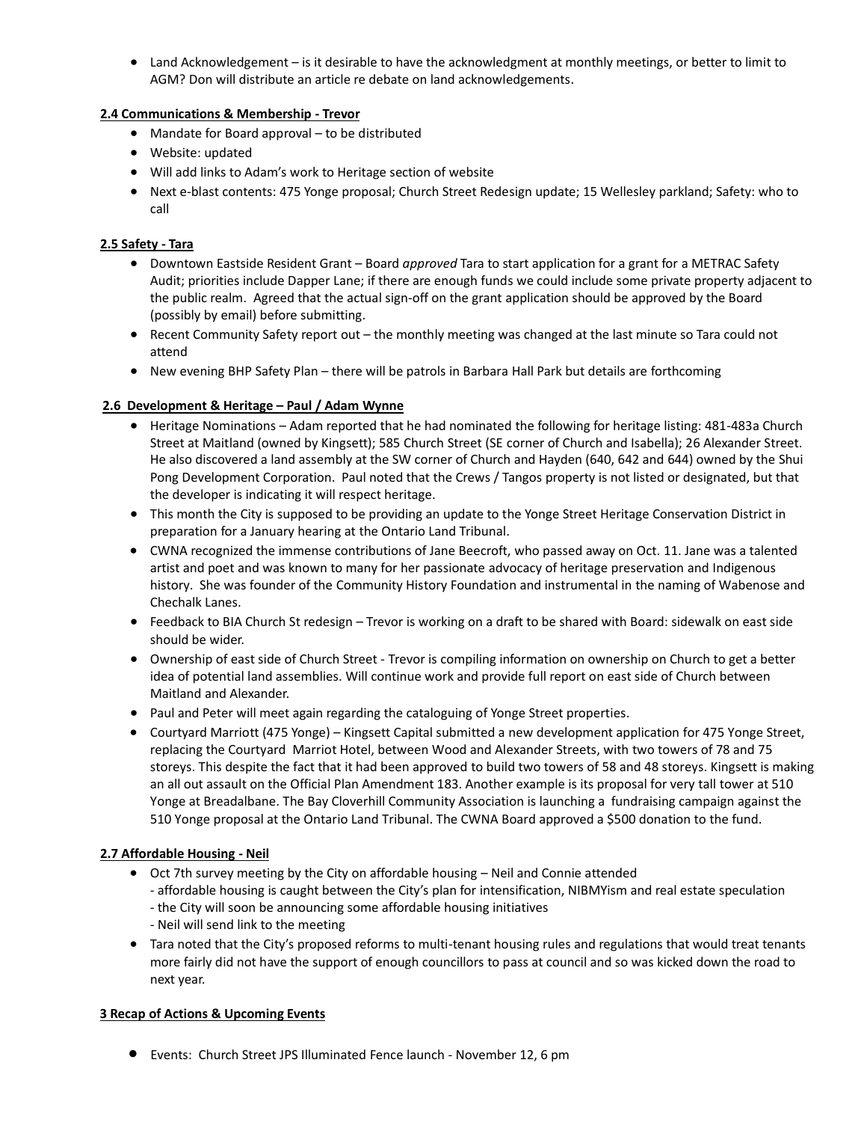• Land Acknowledgement – is it desirable to have the acknowledgment at monthly meetings, or better to limit to AGM? Don will distribute an article re debate on land acknowledgements.

#### **2.4 Communications & Membership - Trevor**

- Mandate for Board approval to be distributed
- Website: updated
- Will add links to Adam's work to Heritage section of website
- Next e-blast contents: 475 Yonge proposal; Church Street Redesign update; 15 Wellesley parkland; Safety: who to call

## **2.5 Safety - Tara**

- Downtown Eastside Resident Grant Board *approved* Tara to start application for a grant for a METRAC Safety Audit; priorities include Dapper Lane; if there are enough funds we could include some private property adjacent to the public realm. Agreed that the actual sign-off on the grant application should be approved by the Board (possibly by email) before submitting.
- Recent Community Safety report out the monthly meeting was changed at the last minute so Tara could not attend
- New evening BHP Safety Plan there will be patrols in Barbara Hall Park but details are forthcoming

## **2.6 Development & Heritage – Paul / Adam Wynne**

- Heritage Nominations Adam reported that he had nominated the following for heritage listing: 481-483a Church Street at Maitland (owned by Kingsett); 585 Church Street (SE corner of Church and Isabella); 26 Alexander Street. He also discovered a land assembly at the SW corner of Church and Hayden (640, 642 and 644) owned by the Shui Pong Development Corporation. Paul noted that the Crews / Tangos property is not listed or designated, but that the developer is indicating it will respect heritage.
- This month the City is supposed to be providing an update to the Yonge Street Heritage Conservation District in preparation for a January hearing at the Ontario Land Tribunal.
- CWNA recognized the immense contributions of Jane Beecroft, who passed away on Oct. 11. Jane was a talented artist and poet and was known to many for her passionate advocacy of heritage preservation and Indigenous history. She was founder of the Community History Foundation and instrumental in the naming of Wabenose and Chechalk Lanes.
- Feedback to BIA Church St redesign Trevor is working on a draft to be shared with Board: sidewalk on east side should be wider.
- Ownership of east side of Church Street Trevor is compiling information on ownership on Church to get a better idea of potential land assemblies. Will continue work and provide full report on east side of Church between Maitland and Alexander.
- Paul and Peter will meet again regarding the cataloguing of Yonge Street properties.
- Courtyard Marriott (475 Yonge) Kingsett Capital submitted a new development application for 475 Yonge Street, replacing the Courtyard Marriot Hotel, between Wood and Alexander Streets, with two towers of 78 and 75 storeys. This despite the fact that it had been approved to build two towers of 58 and 48 storeys. Kingsett is making an all out assault on the Official Plan Amendment 183. Another example is its proposal for very tall tower at 510 Yonge at Breadalbane. The Bay Cloverhill Community Association is launching a fundraising campaign against the 510 Yonge proposal at the Ontario Land Tribunal. The CWNA Board approved a \$500 donation to the fund.

#### **2.7 Affordable Housing - Neil**

- Oct 7th survey meeting by the City on affordable housing Neil and Connie attended
	- affordable housing is caught between the City's plan for intensification, NIBMYism and real estate speculation
	- the City will soon be announcing some affordable housing initiatives
	- Neil will send link to the meeting
- Tara noted that the City's proposed reforms to multi-tenant housing rules and regulations that would treat tenants more fairly did not have the support of enough councillors to pass at council and so was kicked down the road to next year.

#### **3 Recap of Actions & Upcoming Events**

• Events: Church Street JPS Illuminated Fence launch - November 12, 6 pm